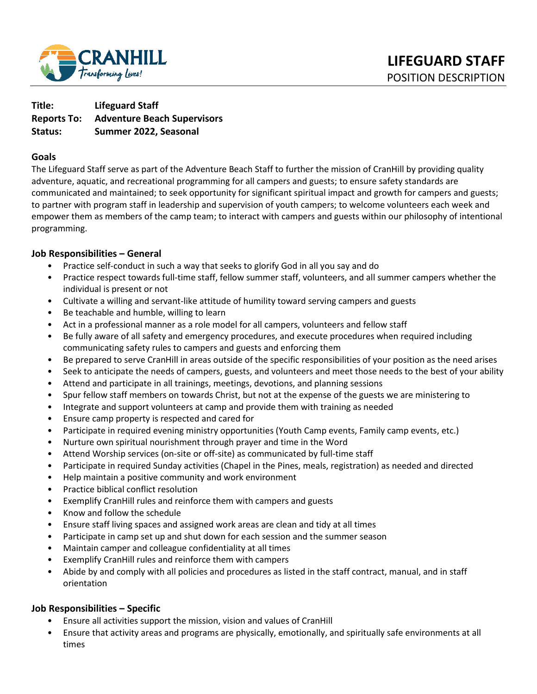

**Title: Lifeguard Staff Reports To: Adventure Beach Supervisors Status: Summer 2022, Seasonal** 

### **Goals**

The Lifeguard Staff serve as part of the Adventure Beach Staff to further the mission of CranHill by providing quality adventure, aquatic, and recreational programming for all campers and guests; to ensure safety standards are communicated and maintained; to seek opportunity for significant spiritual impact and growth for campers and guests; to partner with program staff in leadership and supervision of youth campers; to welcome volunteers each week and empower them as members of the camp team; to interact with campers and guests within our philosophy of intentional programming.

### **Job Responsibilities – General**

- Practice self-conduct in such a way that seeks to glorify God in all you say and do
- Practice respect towards full-time staff, fellow summer staff, volunteers, and all summer campers whether the individual is present or not
- Cultivate a willing and servant-like attitude of humility toward serving campers and guests
- Be teachable and humble, willing to learn
- Act in a professional manner as a role model for all campers, volunteers and fellow staff
- Be fully aware of all safety and emergency procedures, and execute procedures when required including communicating safety rules to campers and guests and enforcing them
- Be prepared to serve CranHill in areas outside of the specific responsibilities of your position as the need arises
- Seek to anticipate the needs of campers, guests, and volunteers and meet those needs to the best of your ability
- Attend and participate in all trainings, meetings, devotions, and planning sessions
- Spur fellow staff members on towards Christ, but not at the expense of the guests we are ministering to
- Integrate and support volunteers at camp and provide them with training as needed
- Ensure camp property is respected and cared for
- Participate in required evening ministry opportunities (Youth Camp events, Family camp events, etc.)
- Nurture own spiritual nourishment through prayer and time in the Word
- Attend Worship services (on-site or off-site) as communicated by full-time staff
- Participate in required Sunday activities (Chapel in the Pines, meals, registration) as needed and directed
- Help maintain a positive community and work environment
- Practice biblical conflict resolution
- Exemplify CranHill rules and reinforce them with campers and guests
- Know and follow the schedule
- Ensure staff living spaces and assigned work areas are clean and tidy at all times
- Participate in camp set up and shut down for each session and the summer season
- Maintain camper and colleague confidentiality at all times
- Exemplify CranHill rules and reinforce them with campers
- Abide by and comply with all policies and procedures as listed in the staff contract, manual, and in staff orientation

### **Job Responsibilities – Specific**

- Ensure all activities support the mission, vision and values of CranHill
- Ensure that activity areas and programs are physically, emotionally, and spiritually safe environments at all times